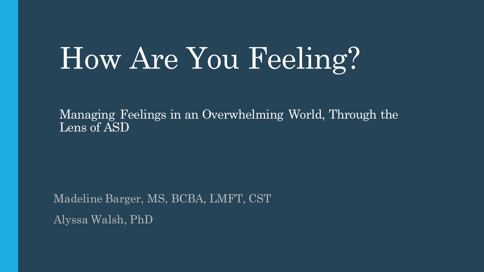# How Are You Feeling?

Managing Feelings in an Overwhelming World, Through the Lens of ASD

Madeline Barger, MS, BCBA, LMFT, CST Alyssa Walsh, PhD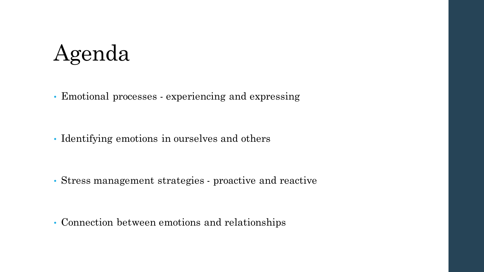#### Agenda

• Emotional processes - experiencing and expressing

• Identifying emotions in ourselves and others

• Stress management strategies - proactive and reactive

• Connection between emotions and relationships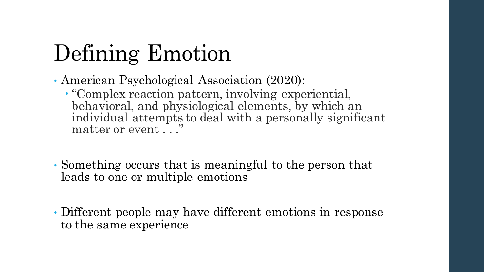# Defining Emotion

- American Psychological Association (2020):
	- "Complex reaction pattern, involving experiential, behavioral, and physiological elements, by which an individual attempts to deal with a personally significant matter or event ...
- Something occurs that is meaningful to the person that leads to one or multiple emotions
- Different people may have different emotions in response to the same experience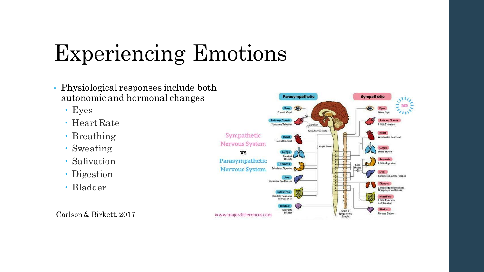# Experiencing Emotions

- Physiological responses include both autonomic and hormonal changes
	- Eyes
	- Heart Rate
	- Breathing
	- Sweating
	- Salivation
	- Digestion
	- Bladder

Carlson & Birkett, 2017

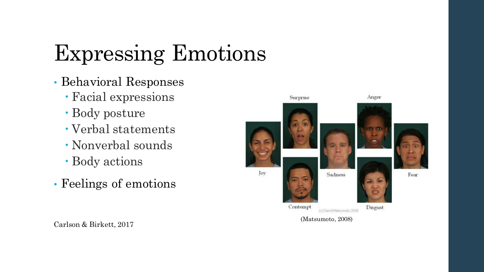# Expressing Emotions

- Behavioral Responses
	- Facial expressions
	- Body posture
	- Verbal statements
	- Nonverbal sounds
	- Body actions
- Feelings of emotions



Carlson & Birkett, 2017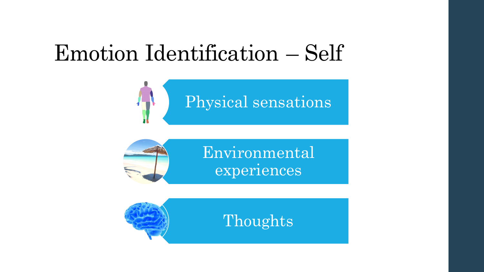#### Emotion Identification – Self







Thoughts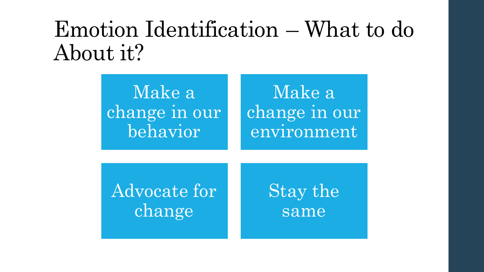#### Emotion Identification – What to do About it?

Make a change in our behavior

Make a change in our environment

Advocate for change

Stay the same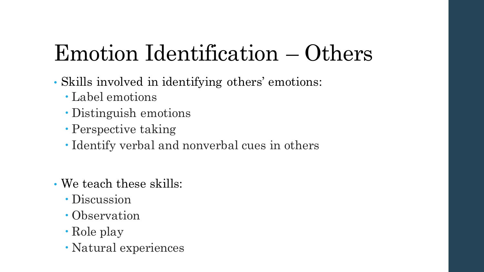# Emotion Identification – Others

- Skills involved in identifying others' emotions:
	- Label emotions
	- Distinguish emotions
	- Perspective taking
	- Identify verbal and nonverbal cues in others
- We teach these skills:
	- Discussion
	- Observation
	- Role play
	- Natural experiences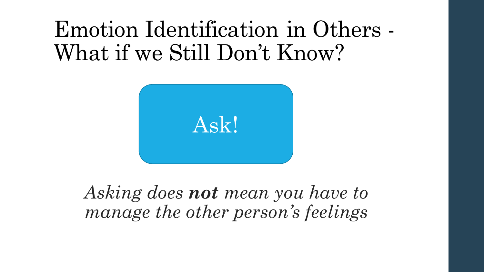#### Emotion Identification in Others - What if we Still Don't Know?



*Asking does not mean you have to manage the other person's feelings*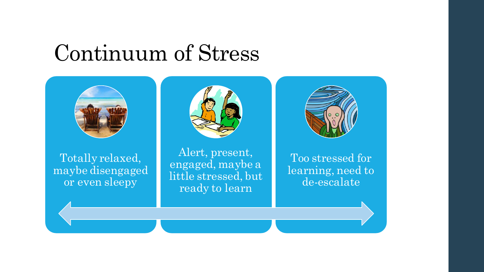#### Continuum of Stress

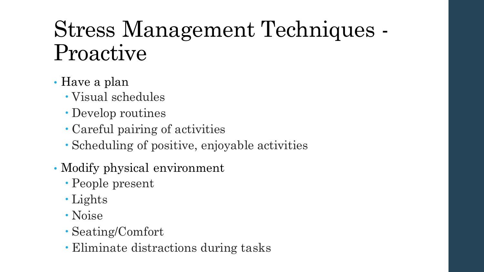# Stress Management Techniques - Proactive

#### • Have a plan

- Visual schedules
- Develop routines
- Careful pairing of activities
- Scheduling of positive, enjoyable activities
- Modify physical environment
	- People present
	- Lights
	- Noise
	- Seating/Comfort
	- Eliminate distractions during tasks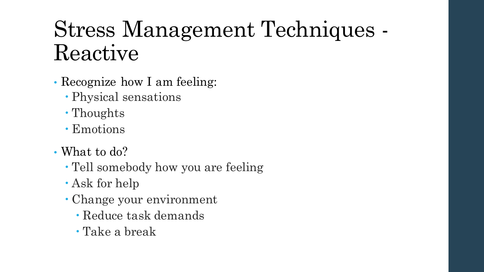# Stress Management Techniques - Reactive

- Recognize how I am feeling:
	- Physical sensations
	- Thoughts
	- Emotions
- What to do?
	- Tell somebody how you are feeling
	- Ask for help
	- Change your environment
		- Reduce task demands
		- Take a break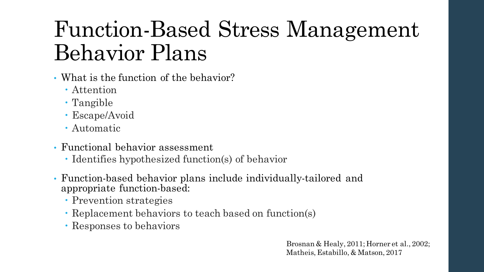# Function-Based Stress Management Behavior Plans

- What is the function of the behavior?
	- Attention
	- Tangible
	- Escape/Avoid
	- Automatic
- Functional behavior assessment
	- Identifies hypothesized function(s) of behavior
- Function-based behavior plans include individually-tailored and appropriate function-based:
	- Prevention strategies
	- Replacement behaviors to teach based on function(s)
	- Responses to behaviors

Brosnan & Healy, 2011; Horner et al., 2002; Matheis, Estabillo, & Matson, 2017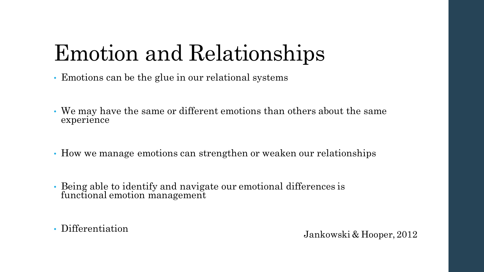# Emotion and Relationships

- Emotions can be the glue in our relational systems
- We may have the same or different emotions than others about the same experience
- How we manage emotions can strengthen or weaken our relationships
- Being able to identify and navigate our emotional differences is functional emotion management

• Differentiation Jankowski & Hooper, 2012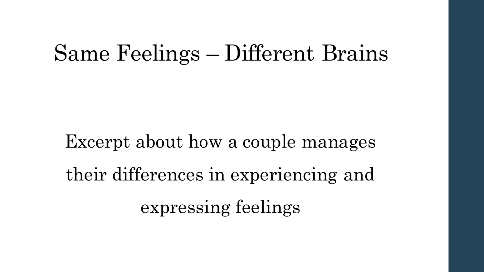#### Same Feelings – Different Brains

Excerpt about how a couple manages their differences in experiencing and expressing feelings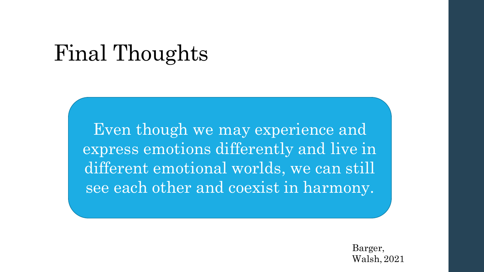#### Final Thoughts

Even though we may experience and express emotions differently and live in different emotional worlds, we can still see each other and coexist in harmony.

> Barger, Walsh, 2021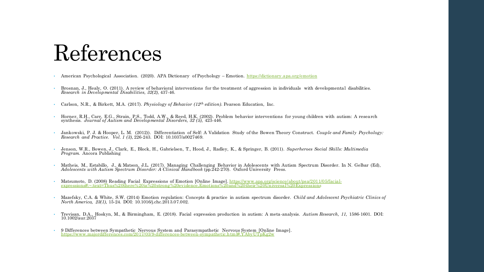#### References

- American Psychological Association. (2020). APA Dictionary of Psychology Emotion. <https://dictionary.apa.org/emotion>
- Brosnan, J., Healy, O. (2011). A review of behavioral interventions for the treatment of aggression in individuals with developmental disabilities. *Research in Developmental Disabilities, 32(2),* 437-46.
- Carlson, N.R., & Birkett, M.A. (2017). *Physiology of Behavior (12th edition).* Pearson Education, Inc.
- Horner, R.H., Carr, E.G., Strain, P.S., Todd, A.W., & Reed, H.K. (2002). Problem behavior interventions for young children with autism: A research synthesis. Journal of Autism and Developmental Disorders, 32 (5), 423-446
- Jankowski, P. J. & Hooper, L. M. (2012)). Differentiation of Self: A Validation Study of the Bowen Theory Construct. *Couple and Family Psychology: Research and Practice. Vol. 1 (3),* 226-243. DOI: 10.1037/a0027469.
- Jenson, W.R., Bowen, J., Clark, E., Block, H., Gabrielsen, T., Hood, J., Radley, K., & Springer, B. (2011). *Superheroes Social Skills: Multimedia Program.* Ancora Publishing
- Matheis, M., Estabillo, J., & Matson, J.L. (2017). Managing Challenging Behavior in Adolescents with Autism Spectrum Disorder. In N. Gelbar (Ed), *Adolescents with Autism Spectrum Disorder: A Clinical Handbook* (pp.242-270). Oxford University Press.
- Matsumoto, D. (2008) Reading Facial Expressions of Emotion [Online Image]. https://www.apa.org/science/about/psa/2011/05/facial[expressions#:~:text=Thus%20there%20is%20strong%20evidence,Emotions%20and%20their%20Universal%20Expressions](https://www.apa.org/science/about/psa/2011/05/facial-expressions#:~:text=Thus%20there%20is%20strong%20evidence,Emotions%20and%20their%20Universal%20Expressions)
- Mazefsky, C.A. & White, S.W. (2014) Emotion regulation: Concepts & practice in autism spectrum disorder. *Child and Adolescent Psychiatric Clinics of North America, 23(1),* 15-24. DOI: 10.1016/j.chc.2013.07.002.
- Trevisan, D.A., Hoskyn, M., & Birmingham, E. (2018). Facial expression production in autism: A meta-analysis. *Autism Research, 11,* 1586-1601. DOI: 10.1002/aur.2037
- 9 Differences between Sympathetic Nervous System and Parasympathetic Nervous System [Online Image].<br><https://www.majordifferences.com/2017/03/9-differences-between-sympathetic.html#.YAbyUTpKg2w>